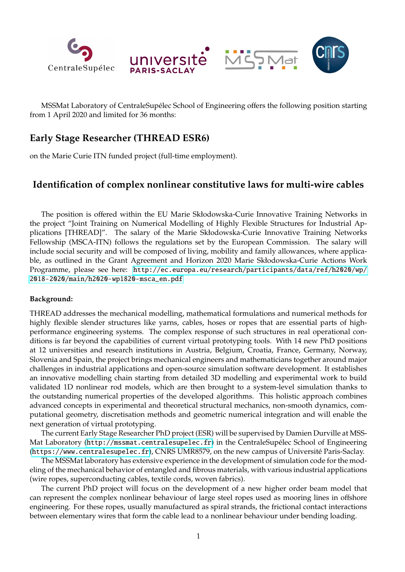

MSSMat Laboratory of CentraleSupélec School of Engineering offers the following position starting from 1 April 2020 and limited for 36 months:

# **Early Stage Researcher (THREAD ESR6)**

on the Marie Curie ITN funded project (full-time employment).

## **Identification of complex nonlinear constitutive laws for multi-wire cables**

The position is offered within the EU Marie Skłodowska-Curie Innovative Training Networks in the project "Joint Training on Numerical Modelling of Highly Flexible Structures for Industrial Applications [THREAD]". The salary of the Marie Skłodowska-Curie Innovative Training Networks Fellowship (MSCA-ITN) follows the regulations set by the European Commission. The salary will include social security and will be composed of living, mobility and family allowances, where applicable, as outlined in the Grant Agreement and Horizon 2020 Marie Skłodowska-Curie Actions Work Programme, please see here: [http://ec.europa.eu/research/participants/data/ref/h2020/wp/](http://ec.europa.eu/research/participants/data/ref/h2020/wp/2018-2020/main/h2020-wp1820-msca_en.pdf) [2018-2020/main/h2020-wp1820-msca\\_en.pdf](http://ec.europa.eu/research/participants/data/ref/h2020/wp/2018-2020/main/h2020-wp1820-msca_en.pdf)

### **Background:**

THREAD addresses the mechanical modelling, mathematical formulations and numerical methods for highly flexible slender structures like yarns, cables, hoses or ropes that are essential parts of highperformance engineering systems. The complex response of such structures in real operational conditions is far beyond the capabilities of current virtual prototyping tools. With 14 new PhD positions at 12 universities and research institutions in Austria, Belgium, Croatia, France, Germany, Norway, Slovenia and Spain, the project brings mechanical engineers and mathematicians together around major challenges in industrial applications and open-source simulation software development. It establishes an innovative modelling chain starting from detailed 3D modelling and experimental work to build validated 1D nonlinear rod models, which are then brought to a system-level simulation thanks to the outstanding numerical properties of the developed algorithms. This holistic approach combines advanced concepts in experimental and theoretical structural mechanics, non-smooth dynamics, computational geometry, discretisation methods and geometric numerical integration and will enable the next generation of virtual prototyping.

The current Early Stage Researcher PhD project (ESR) will be supervised by Damien Durville at MSSMat Laboratory (<http://mssmat.centralesupelec.fr>) in the CentraleSupélec School of Engineering (<https://www.centralesupelec.fr>), CNRS UMR8579, on the new campus of Universite Paris-Saclay. ´

The MSSMat laboratory has extensive experience in the development of simulation code for the modeling of the mechanical behavior of entangled and fibrous materials, with various industrial applications (wire ropes, superconducting cables, textile cords, woven fabrics).

The current PhD project will focus on the development of a new higher order beam model that can represent the complex nonlinear behaviour of large steel ropes used as mooring lines in offshore engineering. For these ropes, usually manufactured as spiral strands, the frictional contact interactions between elementary wires that form the cable lead to a nonlinear behaviour under bending loading.